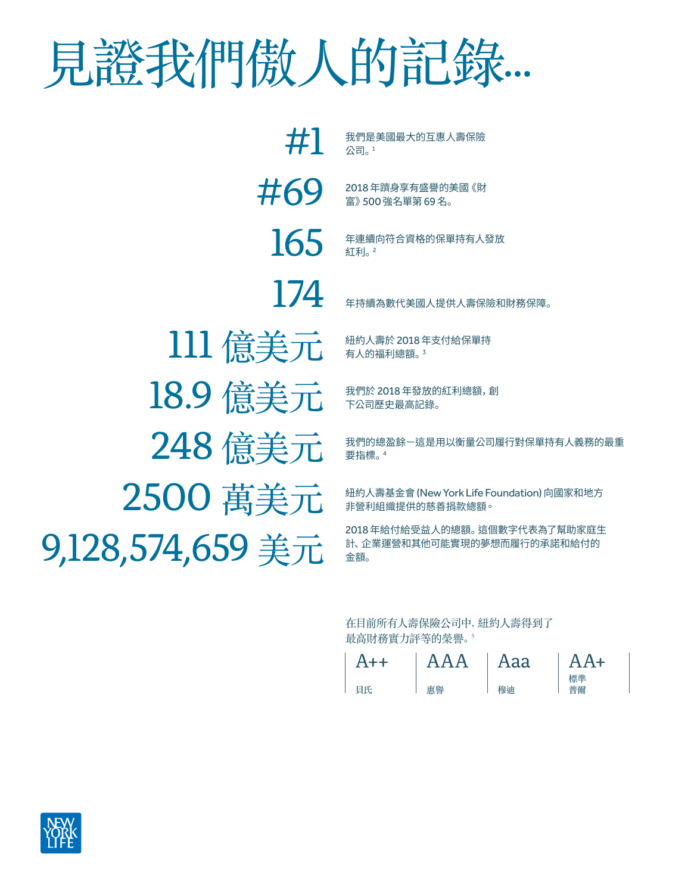## 見證我們傲人的記錄...

165 年連續向符合資格的保單持有人發放 紅利。2 #1 我們是美國最大的互惠人壽保險 公司。<sup>1</sup> 248 億美元 我們的總盈餘一這是用以衡量公司履行對保單持有人義務的最重 要指標。<sup>4</sup>  $2500 \boxplus \ddots$   $\boxplus \text{ 100}$   $\boxplus \text{ 11}$   $\boxplus \text{ 12018}$   $\boxplus \text{ 130}$   $\cong$   $\cong$   $\cong$   $\cong$   $\cong$   $\cong$   $\cong$   $\cong$   $\cong$   $\cong$   $\cong$   $\cong$   $\cong$   $\cong$   $\cong$   $\cong$   $\cong$   $\cong$   $\cong$   $\cong$   $\cong$   $\cong$   $\cong$   $\cong$   $\cong$  非營利組織提供的慈善捐款總額。 111 億美元 # # AL的福利總額。" 有人的福利總額。<sup>3</sup> 18.9 億美元 我們於 2018年發放的紅利總額,創 下公司歷史最高記錄。 9,128,574,659 美元 計、企業運營和其他可能實現的夢想而履行的承諾和給付的 金額。 174 年持續為數代美國人提供人壽保險和財務保障。  $\#69$  2018年躋身享有盛譽的美國《財 富》500 強名單第 69 名。

> 在目前所有人壽保險公司中,紐約人壽得到了 最高財務實力評等的榮譽。<sup>5</sup>

| $A++$ | AAA | Aaa | $AA+$    |
|-------|-----|-----|----------|
| 目氏    | 車舉  |     | 標準<br>晋爾 |